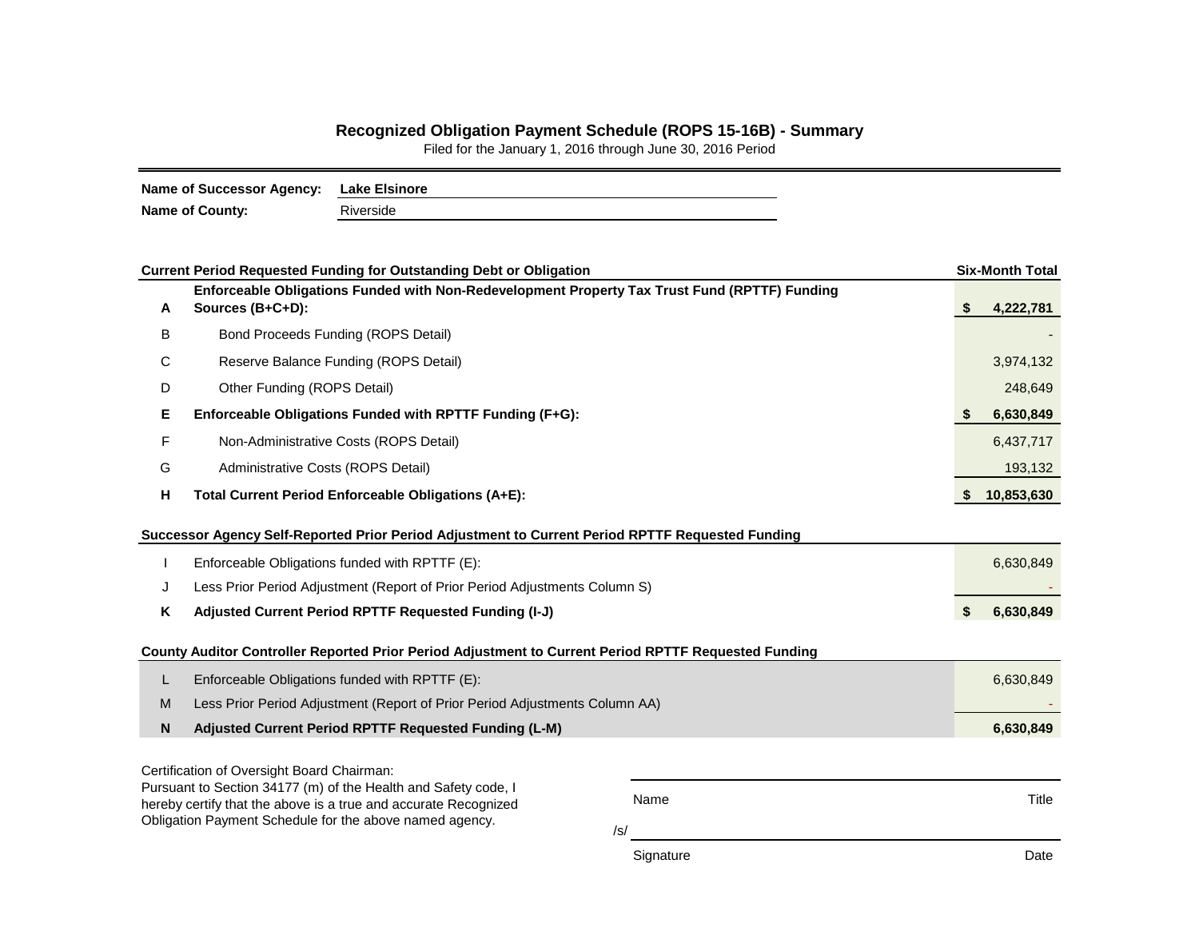## **Recognized Obligation Payment Schedule (ROPS 15-16B) - Summary**

Filed for the January 1, 2016 through June 30, 2016 Period

| <b>Name of Successor Agency:</b> | <b>Lake Elsinore</b> |
|----------------------------------|----------------------|
| <b>Name of County:</b>           | Riverside            |

|                                                                                                                            | <b>Current Period Requested Funding for Outstanding Debt or Obligation</b>                                        |           | <b>Six-Month Total</b> |  |  |  |  |  |  |
|----------------------------------------------------------------------------------------------------------------------------|-------------------------------------------------------------------------------------------------------------------|-----------|------------------------|--|--|--|--|--|--|
| A                                                                                                                          | Enforceable Obligations Funded with Non-Redevelopment Property Tax Trust Fund (RPTTF) Funding<br>Sources (B+C+D): |           | 4,222,781<br>S         |  |  |  |  |  |  |
| B                                                                                                                          | Bond Proceeds Funding (ROPS Detail)                                                                               |           |                        |  |  |  |  |  |  |
| С                                                                                                                          | Reserve Balance Funding (ROPS Detail)                                                                             |           |                        |  |  |  |  |  |  |
| D                                                                                                                          | Other Funding (ROPS Detail)                                                                                       |           |                        |  |  |  |  |  |  |
| Е                                                                                                                          | Enforceable Obligations Funded with RPTTF Funding (F+G):                                                          |           | 6,630,849<br>S         |  |  |  |  |  |  |
| F                                                                                                                          | Non-Administrative Costs (ROPS Detail)                                                                            |           | 6,437,717              |  |  |  |  |  |  |
| G                                                                                                                          | Administrative Costs (ROPS Detail)                                                                                |           | 193,132                |  |  |  |  |  |  |
| н                                                                                                                          | Total Current Period Enforceable Obligations (A+E):                                                               |           | 10,853,630<br>S        |  |  |  |  |  |  |
| Successor Agency Self-Reported Prior Period Adjustment to Current Period RPTTF Requested Funding                           |                                                                                                                   |           |                        |  |  |  |  |  |  |
|                                                                                                                            | Enforceable Obligations funded with RPTTF (E):                                                                    |           | 6,630,849              |  |  |  |  |  |  |
| J                                                                                                                          | Less Prior Period Adjustment (Report of Prior Period Adjustments Column S)                                        |           |                        |  |  |  |  |  |  |
| Κ                                                                                                                          | Adjusted Current Period RPTTF Requested Funding (I-J)                                                             |           |                        |  |  |  |  |  |  |
|                                                                                                                            | County Auditor Controller Reported Prior Period Adjustment to Current Period RPTTF Requested Funding              |           |                        |  |  |  |  |  |  |
| L                                                                                                                          | Enforceable Obligations funded with RPTTF (E):                                                                    |           | 6,630,849              |  |  |  |  |  |  |
| M                                                                                                                          | Less Prior Period Adjustment (Report of Prior Period Adjustments Column AA)                                       |           |                        |  |  |  |  |  |  |
| N                                                                                                                          | Adjusted Current Period RPTTF Requested Funding (L-M)                                                             |           | 6,630,849              |  |  |  |  |  |  |
|                                                                                                                            | Certification of Oversight Board Chairman:                                                                        |           |                        |  |  |  |  |  |  |
|                                                                                                                            | Pursuant to Section 34177 (m) of the Health and Safety code, I                                                    | Name      | Title                  |  |  |  |  |  |  |
| hereby certify that the above is a true and accurate Recognized<br>Obligation Payment Schedule for the above named agency. |                                                                                                                   |           |                        |  |  |  |  |  |  |
|                                                                                                                            |                                                                                                                   | /s/       |                        |  |  |  |  |  |  |
|                                                                                                                            |                                                                                                                   | Signature | Date                   |  |  |  |  |  |  |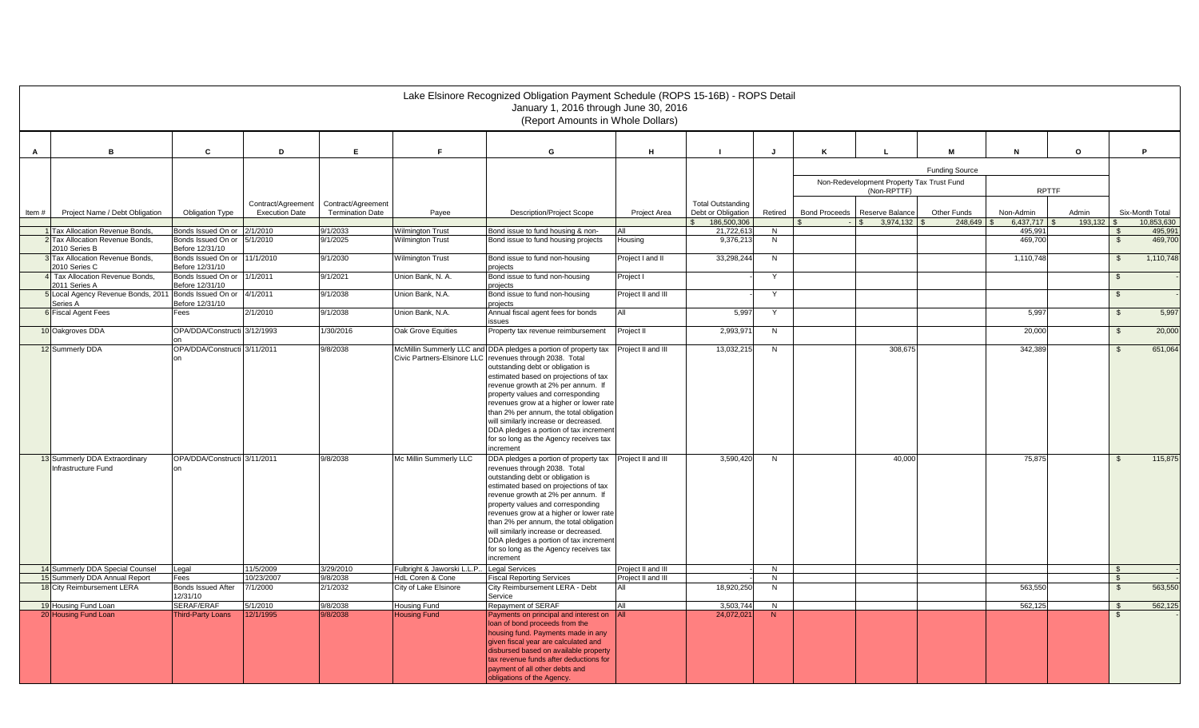|                                                                      |                                                                   |                                       |                                             |                                               |                                                    | Lake Elsinore Recognized Obligation Payment Schedule (ROPS 15-16B) - ROPS Detail<br>January 1, 2016 through June 30, 2016<br>(Report Amounts in Whole Dollars)                                                                                                                                                                                                                                                                                                                    |                    |                                                |                     |                      |                                           |                       |                    |              |                                 |                    |
|----------------------------------------------------------------------|-------------------------------------------------------------------|---------------------------------------|---------------------------------------------|-----------------------------------------------|----------------------------------------------------|-----------------------------------------------------------------------------------------------------------------------------------------------------------------------------------------------------------------------------------------------------------------------------------------------------------------------------------------------------------------------------------------------------------------------------------------------------------------------------------|--------------------|------------------------------------------------|---------------------|----------------------|-------------------------------------------|-----------------------|--------------------|--------------|---------------------------------|--------------------|
| M<br>P<br>C<br>D<br>E<br>F.<br>G<br>H<br>$\circ$<br>B<br>J<br>N<br>A |                                                                   |                                       |                                             |                                               |                                                    |                                                                                                                                                                                                                                                                                                                                                                                                                                                                                   |                    |                                                |                     |                      |                                           |                       |                    |              |                                 |                    |
|                                                                      |                                                                   |                                       |                                             |                                               |                                                    |                                                                                                                                                                                                                                                                                                                                                                                                                                                                                   |                    |                                                |                     |                      |                                           | <b>Funding Source</b> |                    |              |                                 |                    |
|                                                                      |                                                                   |                                       |                                             |                                               |                                                    |                                                                                                                                                                                                                                                                                                                                                                                                                                                                                   |                    |                                                |                     |                      | Non-Redevelopment Property Tax Trust Fund |                       |                    |              |                                 |                    |
|                                                                      |                                                                   |                                       |                                             |                                               |                                                    |                                                                                                                                                                                                                                                                                                                                                                                                                                                                                   |                    |                                                |                     |                      | (Non-RPTTF)                               |                       | <b>RPTTF</b>       |              |                                 |                    |
| Item#                                                                | Project Name / Debt Obligation                                    | <b>Obligation Type</b>                | Contract/Agreement<br><b>Execution Date</b> | Contract/Agreement<br><b>Termination Date</b> | Payee                                              | <b>Description/Project Scope</b>                                                                                                                                                                                                                                                                                                                                                                                                                                                  | Project Area       | <b>Total Outstanding</b><br>Debt or Obligation | Retired             | <b>Bond Proceeds</b> | Reserve Balance                           | Other Funds           | Non-Admin          | Admin        |                                 | Six-Month Total    |
|                                                                      |                                                                   |                                       |                                             |                                               |                                                    |                                                                                                                                                                                                                                                                                                                                                                                                                                                                                   |                    | 186,500,306<br>$\mathcal{L}$                   |                     |                      | 3.974.132<br>$\mathcal{S}$                | 248.649               | 6.437,717          | $193.132$ \$ |                                 | 10.853.630         |
|                                                                      | 1 Tax Allocation Revenue Bonds.                                   | Bonds Issued On or                    | 2/1/2010                                    | 9/1/2033<br>9/1/2025                          | <b>Wilmington Trust</b><br><b>Wilmington Trust</b> | Bond issue to fund housing & non-                                                                                                                                                                                                                                                                                                                                                                                                                                                 | ΔII<br>Housing     | 21,722,613<br>9,376,213                        | N<br>$\overline{N}$ |                      |                                           |                       | 495,991<br>469,700 |              | $\mathcal{L}$<br>$\mathfrak{F}$ | 495,991<br>469,700 |
|                                                                      | 2 Tax Allocation Revenue Bonds,<br>2010 Series B                  | Bonds Issued On or<br>Before 12/31/10 | 5/1/2010                                    |                                               |                                                    | Bond issue to fund housing projects                                                                                                                                                                                                                                                                                                                                                                                                                                               |                    |                                                |                     |                      |                                           |                       |                    |              |                                 |                    |
|                                                                      | 3 Tax Allocation Revenue Bonds,                                   | Bonds Issued On or                    | 11/1/2010                                   | 9/1/2030                                      | <b>Wilmington Trust</b>                            | Bond issue to fund non-housing                                                                                                                                                                                                                                                                                                                                                                                                                                                    | Project I and II   | 33,298,244                                     | N                   |                      |                                           |                       | 1,110,748          |              | -S                              | 1,110,748          |
|                                                                      | 2010 Series C<br>4 Tax Allocation Revenue Bonds.                  | Before 12/31/10<br>Bonds Issued On or | 1/1/2011                                    | 9/1/2021                                      | Union Bank, N. A.                                  | projects<br>Bond issue to fund non-housing                                                                                                                                                                                                                                                                                                                                                                                                                                        | Proiect I          |                                                | Y                   |                      |                                           |                       |                    |              | $\mathfrak{L}$                  |                    |
|                                                                      | 2011 Series A                                                     | Before 12/31/10                       |                                             |                                               |                                                    | projects                                                                                                                                                                                                                                                                                                                                                                                                                                                                          |                    |                                                |                     |                      |                                           |                       |                    |              |                                 |                    |
|                                                                      | 5 Local Agency Revenue Bonds, 2011 Bonds Issued On or<br>Series A | Before 12/31/10                       | 4/1/2011                                    | 9/1/2038                                      | Union Bank, N.A.                                   | Bond issue to fund non-housing<br>projects                                                                                                                                                                                                                                                                                                                                                                                                                                        | Project II and III |                                                | $\mathsf{v}$        |                      |                                           |                       |                    |              | $\mathfrak{L}$                  |                    |
|                                                                      | 6 Fiscal Agent Fees                                               | Fees                                  | 2/1/2010                                    | 9/1/2038                                      | Union Bank, N.A.                                   | Annual fiscal agent fees for bonds<br>issues                                                                                                                                                                                                                                                                                                                                                                                                                                      |                    | 5,997                                          | Y                   |                      |                                           |                       | 5,997              |              | $\mathbb{S}$                    | 5,997              |
|                                                                      | 10 Oakgroves DDA                                                  | OPA/DDA/Constructi 3/12/1993          |                                             | 1/30/2016                                     | Oak Grove Equities                                 | Property tax revenue reimbursement                                                                                                                                                                                                                                                                                                                                                                                                                                                | Project II         | 2,993,97                                       | N                   |                      |                                           |                       | 20,000             |              | \$                              | 20,000             |
|                                                                      | 12 Summerly DDA                                                   | OPA/DDA/Constructi 3/11/2011          |                                             | 9/8/2038                                      |                                                    | McMillin Summerly LLC and DDA pledges a portion of property tax<br>Civic Partners-Elsinore LLC revenues through 2038. Total                                                                                                                                                                                                                                                                                                                                                       | Project II and III | 13,032,215                                     | N                   |                      | 308,675                                   |                       | 342,389            |              | - \$                            | 651,064            |
|                                                                      |                                                                   |                                       |                                             |                                               |                                                    | outstanding debt or obligation is<br>estimated based on projections of tax<br>revenue growth at 2% per annum. If<br>property values and corresponding<br>revenues grow at a higher or lower rate<br>than 2% per annum, the total obligation<br>will similarly increase or decreased.<br>DDA pledges a portion of tax increment<br>for so long as the Agency receives tax<br>increment                                                                                             |                    |                                                |                     |                      |                                           |                       |                    |              |                                 |                    |
|                                                                      | 13 Summerly DDA Extraordinary<br>Infrastructure Fund              | OPA/DDA/Constructi 3/11/2011          |                                             | 9/8/2038                                      | Mc Millin Summerly LLC                             | DDA pledges a portion of property tax Project II and III<br>revenues through 2038. Total<br>outstanding debt or obligation is<br>estimated based on projections of tax<br>revenue growth at 2% per annum. If<br>property values and corresponding<br>revenues grow at a higher or lower rate<br>than 2% per annum, the total obligatior<br>will similarly increase or decreased.<br>DDA pledges a portion of tax increment<br>for so long as the Agency receives tax<br>increment |                    | 3,590,420<br>N                                 |                     |                      | 40,000                                    |                       | 75,875             |              | $\mathfrak{F}$                  | 115,875            |
|                                                                      | 14 Summerly DDA Special Counsel                                   | Legal                                 | 11/5/2009                                   | 3/29/2010                                     | Fulbright & Jaworski L.L.P                         | <b>Legal Services</b>                                                                                                                                                                                                                                                                                                                                                                                                                                                             | Project II and III |                                                | $\overline{N}$      |                      |                                           |                       |                    |              | $\mathfrak{s}$                  |                    |
|                                                                      | 15 Summerly DDA Annual Report<br>18 City Reimbursement LERA       | Fees<br><b>Bonds Issued After</b>     | 10/23/2007<br>7/1/2000                      | 9/8/2038<br>2/1/2032                          | HdL Coren & Cone<br>City of Lake Elsinore          | <b>Fiscal Reporting Services</b><br>City Reimbursement LERA - Debt                                                                                                                                                                                                                                                                                                                                                                                                                | Project II and III | 18,920,250                                     | N<br>N              |                      |                                           |                       | 563.550            |              | <b>S</b><br>\$                  | 563,550            |
|                                                                      |                                                                   | 12/31/10                              |                                             |                                               |                                                    | Service                                                                                                                                                                                                                                                                                                                                                                                                                                                                           |                    |                                                |                     |                      |                                           |                       |                    |              |                                 |                    |
|                                                                      | 19 Housing Fund Loan                                              | <b>SERAF/ERAF</b>                     | 5/1/2010<br>12/1/1995                       | 9/8/2038<br>9/8/2038                          | <b>Housing Fund</b>                                | Repayment of SERAF                                                                                                                                                                                                                                                                                                                                                                                                                                                                | ΔIΙ                | 3,503,744<br>24.072.02                         | $\overline{N}$      |                      |                                           |                       | 562,125            |              | - \$<br>$\mathfrak{L}$          | 562,125            |
|                                                                      | 20 Housing Fund Loan                                              | <b>Third-Party Loans</b>              |                                             |                                               | <b>Housing Fund</b>                                | Payments on principal and interest on<br>loan of bond proceeds from the<br>housing fund. Payments made in any<br>given fiscal year are calculated and<br>disbursed based on available property<br>tax revenue funds after deductions for<br>payment of all other debts and<br>obligations of the Agency.                                                                                                                                                                          |                    |                                                | N                   |                      |                                           |                       |                    |              |                                 |                    |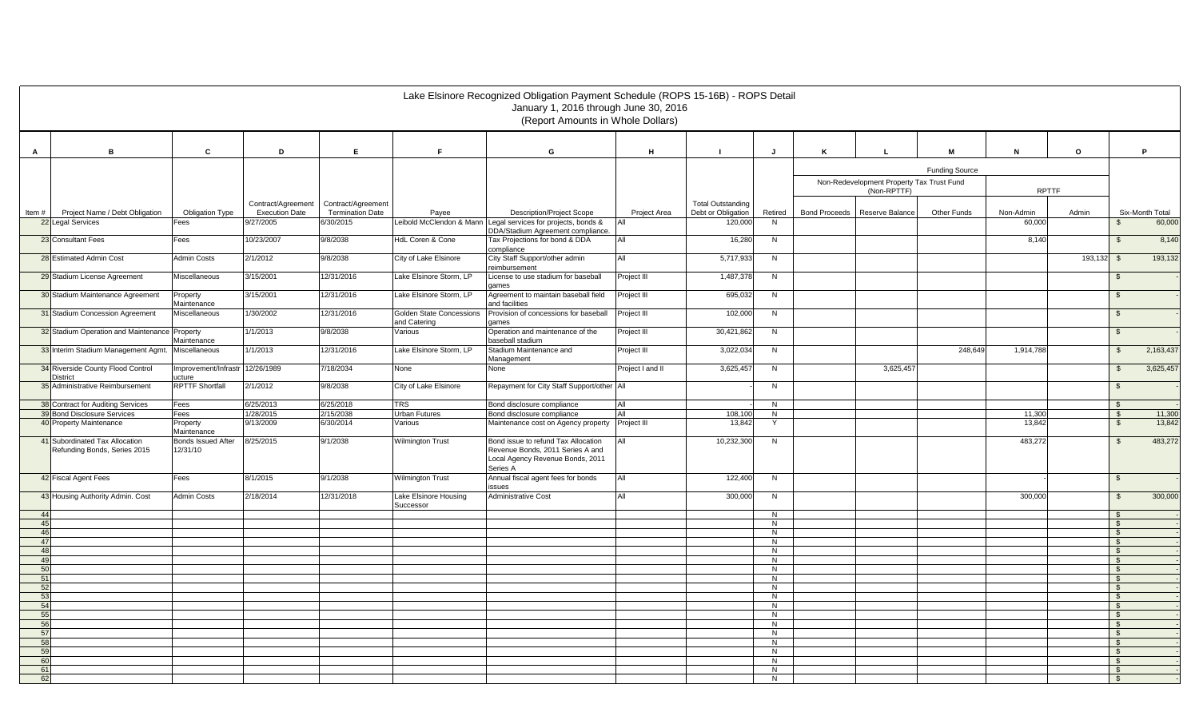|          |                                                                |                                       |                                    |                                               |                                                 | Lake Elsinore Recognized Obligation Payment Schedule (ROPS 15-16B) - ROPS Detail<br>January 1, 2016 through June 30, 2016<br>(Report Amounts in Whole Dollars) |                            |                                                |                     |                      |                                           |                       |                  |         |                              |                  |
|----------|----------------------------------------------------------------|---------------------------------------|------------------------------------|-----------------------------------------------|-------------------------------------------------|----------------------------------------------------------------------------------------------------------------------------------------------------------------|----------------------------|------------------------------------------------|---------------------|----------------------|-------------------------------------------|-----------------------|------------------|---------|------------------------------|------------------|
| A        | B                                                              | C                                     | D                                  | Е.<br>F.<br>G<br>H<br>J<br>М<br>N<br>Κ<br>L   |                                                 |                                                                                                                                                                |                            |                                                |                     |                      |                                           |                       |                  |         |                              | P                |
|          |                                                                |                                       |                                    |                                               |                                                 |                                                                                                                                                                |                            |                                                |                     |                      |                                           | <b>Funding Source</b> |                  |         |                              |                  |
|          |                                                                |                                       |                                    |                                               |                                                 |                                                                                                                                                                |                            |                                                |                     |                      | Non-Redevelopment Property Tax Trust Fund |                       |                  |         |                              |                  |
|          |                                                                |                                       |                                    |                                               |                                                 |                                                                                                                                                                |                            |                                                |                     |                      | (Non-RPTTF)                               |                       | <b>RPTTF</b>     |         |                              |                  |
|          | Project Name / Debt Obligation                                 |                                       | Contract/Agreement                 | Contract/Agreement<br><b>Termination Date</b> |                                                 | <b>Description/Project Scope</b>                                                                                                                               |                            | <b>Total Outstanding</b><br>Debt or Obligation | Retired             | <b>Bond Proceeds</b> | Reserve Balance                           | Other Funds           | Non-Admin        | Admin   |                              | Six-Month Total  |
| Item#    | 22 Legal Services                                              | <b>Obligation Type</b><br>Fees        | <b>Execution Date</b><br>9/27/2005 | 6/30/2015                                     | Payee                                           | Leibold McClendon & Mann Legal services for projects, bonds &                                                                                                  | Project Area               | 120,00                                         | N                   |                      |                                           |                       | 60,000           |         | $\mathcal{F}$                | 60,000           |
|          |                                                                |                                       |                                    |                                               |                                                 | DDA/Stadium Agreement compliance.                                                                                                                              |                            |                                                |                     |                      |                                           |                       |                  |         |                              |                  |
|          | 23 Consultant Fees                                             | Fees                                  | 10/23/2007                         | 9/8/2038                                      | HdL Coren & Cone                                | Tax Projections for bond & DDA<br>compliance                                                                                                                   | All                        | 16,28                                          | N                   |                      |                                           |                       | 8,140            |         | $\mathfrak{L}$               | 8,140            |
|          | 28 Estimated Admin Cost                                        | <b>Admin Costs</b>                    | 2/1/2012                           | 9/8/2038                                      | City of Lake Elsinore                           | City Staff Support/other admin                                                                                                                                 | AII                        | 5,717,93                                       | N                   |                      |                                           |                       |                  | 193,132 | \$                           | 193,132          |
|          | 29 Stadium License Agreement                                   | Miscellaneous                         | 3/15/2001                          | 12/31/2016                                    | Lake Elsinore Storm, LP                         | reimbursement<br>License to use stadium for baseball                                                                                                           | Project III                | 1,487,37                                       | N                   |                      |                                           |                       |                  |         | \$                           |                  |
|          |                                                                |                                       |                                    |                                               |                                                 | games                                                                                                                                                          |                            |                                                |                     |                      |                                           |                       |                  |         |                              |                  |
|          | 30 Stadium Maintenance Agreement                               | Property<br>Maintenance               | 3/15/2001                          | 12/31/2016                                    | Lake Elsinore Storm, LP                         | Agreement to maintain baseball field<br>and facilities                                                                                                         | Project III                | 695,032                                        | N                   |                      |                                           |                       |                  |         | $\mathfrak{L}$               |                  |
|          | 31 Stadium Concession Agreement                                | Miscellaneous                         | 1/30/2002                          | 12/31/2016                                    | <b>Golden State Concessions</b><br>and Catering | Provision of concessions for baseball<br>dames                                                                                                                 | Project III                | 102,000                                        | N                   |                      |                                           |                       |                  |         | $\mathfrak{S}$               |                  |
|          | 32 Stadium Operation and Maintenance                           | Property                              | 1/1/2013                           | 9/8/2038                                      | Various                                         | Operation and maintenance of the                                                                                                                               | Project III                | 30,421,86                                      | N                   |                      |                                           |                       |                  |         | $\mathfrak{S}$               |                  |
|          | 33 Interim Stadium Management Agmt.                            | Maintenance<br>Miscellaneous          | 1/1/2013                           | 12/31/2016                                    | Lake Elsinore Storm, LP                         | baseball stadium<br>Stadium Maintenance and                                                                                                                    | Project III                | 3,022,034                                      | N                   |                      |                                           | 248.649               | 1,914,788        |         | $\mathfrak{L}$               | 2,163,437        |
|          | 34 Riverside County Flood Control                              | Improvement/Infrastr 12/26/1989       |                                    | 7/18/2034                                     | None                                            | Management<br>None                                                                                                                                             | Project I and II           | 3,625,45                                       | N                   |                      | 3,625,457                                 |                       |                  |         | \$                           | 3,625,457        |
|          | District                                                       | ucture                                |                                    |                                               |                                                 |                                                                                                                                                                |                            |                                                |                     |                      |                                           |                       |                  |         |                              |                  |
|          | 35 Administrative Reimbursement                                | <b>RPTTF Shortfall</b>                | 2/1/2012                           | 9/8/2038                                      | City of Lake Elsinore                           | Repayment for City Staff Support/other All                                                                                                                     |                            |                                                | N                   |                      |                                           |                       |                  |         | $\mathfrak{L}$               |                  |
|          | 38 Contract for Auditing Services                              | Fees                                  | 6/25/2013                          | 6/25/2018                                     | <b>TRS</b>                                      | Bond disclosure compliance                                                                                                                                     | All                        |                                                | N                   |                      |                                           |                       |                  |         | $\mathfrak{L}$               |                  |
|          | 39 Bond Disclosure Services<br>40 Property Maintenance         | Fees<br>Property                      | 1/28/2015<br>9/13/2009             | 2/15/2038<br>6/30/2014                        | Urban Futures<br>Various                        | Bond disclosure compliance<br>Maintenance cost on Agency property                                                                                              | <b>A</b> ll<br>Project III | 108,100<br>13,842                              | N<br>Y              |                      |                                           |                       | 11,300<br>13,842 |         | - \$<br>$\mathfrak{S}$       | 11,300<br>13,842 |
|          |                                                                | Maintenance                           |                                    |                                               |                                                 |                                                                                                                                                                |                            |                                                |                     |                      |                                           |                       |                  |         |                              |                  |
|          | 41 Subordinated Tax Allocation<br>Refunding Bonds, Series 2015 | <b>Bonds Issued After</b><br>12/31/10 | 8/25/2015                          | 9/1/2038                                      | <b>Wilmington Trust</b>                         | Bond issue to refund Tax Allocation<br>Revenue Bonds, 2011 Series A and                                                                                        | All                        | 10,232,30                                      | N                   |                      |                                           |                       | 483,272          |         | $\mathfrak{L}$               | 483,272          |
|          |                                                                |                                       |                                    |                                               |                                                 | Local Agency Revenue Bonds, 2011                                                                                                                               |                            |                                                |                     |                      |                                           |                       |                  |         |                              |                  |
|          | 42 Fiscal Agent Fees                                           |                                       | 8/1/2015                           | 9/1/2038                                      |                                                 | Series A<br>Annual fiscal agent fees for bonds                                                                                                                 | All                        | 122,400                                        |                     |                      |                                           |                       |                  |         |                              |                  |
|          |                                                                | Fees                                  |                                    |                                               | <b>Wilmington Trust</b>                         | issues                                                                                                                                                         |                            |                                                | N                   |                      |                                           |                       |                  |         | $\mathfrak{S}$               |                  |
|          | 43 Housing Authority Admin. Cost                               | <b>Admin Costs</b>                    | 2/18/2014                          | 12/31/2018                                    | Lake Elsinore Housing<br>Successor              | Administrative Cost                                                                                                                                            | All                        | 300,000                                        | N                   |                      |                                           |                       | 300,000          |         | $\mathfrak{s}$               | 300,000          |
| 44       |                                                                |                                       |                                    |                                               |                                                 |                                                                                                                                                                |                            |                                                | N                   |                      |                                           |                       |                  |         | $\mathcal{S}$                |                  |
| 45<br>46 |                                                                |                                       |                                    |                                               |                                                 |                                                                                                                                                                |                            |                                                | $\overline{N}$<br>N |                      |                                           |                       |                  |         | $\mathbb{S}$<br>$\mathbb{S}$ |                  |
| 47       |                                                                |                                       |                                    |                                               |                                                 |                                                                                                                                                                |                            |                                                | N                   |                      |                                           |                       |                  |         | $\sqrt{3}$                   |                  |
| 48       |                                                                |                                       |                                    |                                               |                                                 |                                                                                                                                                                |                            |                                                | N                   |                      |                                           |                       |                  |         | $\mathbb{S}$                 |                  |
| 49       |                                                                |                                       |                                    |                                               |                                                 |                                                                                                                                                                |                            |                                                | $\overline{N}$<br>N |                      |                                           |                       |                  |         | $\mathbb{S}$                 |                  |
| 50<br>51 |                                                                |                                       |                                    |                                               |                                                 |                                                                                                                                                                |                            |                                                | N                   |                      |                                           |                       |                  |         | $\mathbb{S}$<br><b>S</b>     |                  |
| 52       |                                                                |                                       |                                    |                                               |                                                 |                                                                                                                                                                |                            |                                                | N                   |                      |                                           |                       |                  |         | $\mathbb{S}$                 |                  |
| 53       |                                                                |                                       |                                    |                                               |                                                 |                                                                                                                                                                |                            |                                                | $\overline{N}$      |                      |                                           |                       |                  |         | $\sqrt{s}$                   |                  |
| 54<br>55 |                                                                |                                       |                                    |                                               |                                                 |                                                                                                                                                                |                            |                                                | N<br>N              |                      |                                           |                       |                  |         | $\mathfrak{F}$<br>\$         |                  |
| 56       |                                                                |                                       |                                    |                                               |                                                 |                                                                                                                                                                |                            |                                                | N                   |                      |                                           |                       |                  |         | $\mathbb{S}$                 |                  |
| 57       |                                                                |                                       |                                    |                                               |                                                 |                                                                                                                                                                |                            |                                                | N                   |                      |                                           |                       |                  |         | $\mathcal{F}$                |                  |
| 58<br>59 |                                                                |                                       |                                    |                                               |                                                 |                                                                                                                                                                |                            |                                                | N<br>N              |                      |                                           |                       |                  |         | \$<br>$\mathbb{S}$           |                  |
| 60       |                                                                |                                       |                                    |                                               |                                                 |                                                                                                                                                                |                            |                                                | $\overline{N}$      |                      |                                           |                       |                  |         | $\sqrt{3}$                   |                  |
| 61       |                                                                |                                       |                                    |                                               |                                                 |                                                                                                                                                                |                            |                                                | N                   |                      |                                           |                       |                  |         | $\mathcal{F}$                |                  |
| 62       |                                                                |                                       |                                    |                                               |                                                 |                                                                                                                                                                |                            |                                                | N                   |                      |                                           |                       |                  |         | \$                           |                  |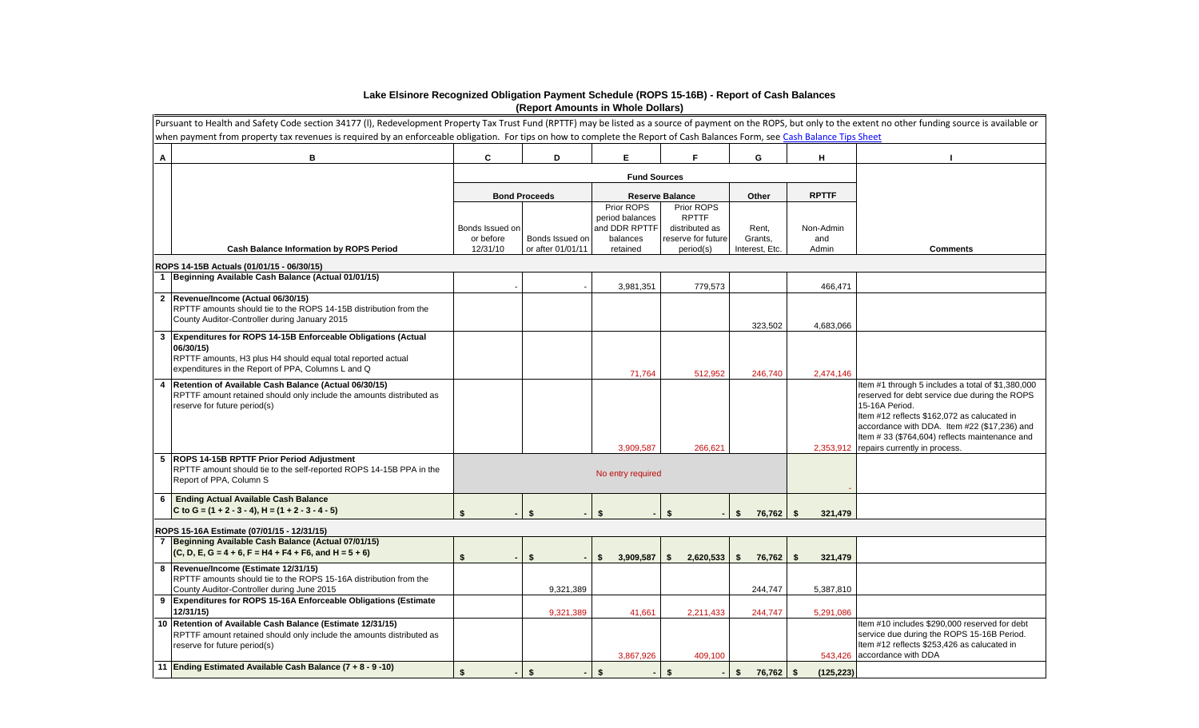## **Lake Elsinore Recognized Obligation Payment Schedule (ROPS 15-16B) - Report of Cash Balances (Report Amounts in Whole Dollars)**

|                | Pursuant to Health and Safety Code section 34177 (I), Redevelopment Property Tax Trust Fund (RPTTF) may be listed as a source of payment on the ROPS, but only to the extent no other funding source is available or<br>when payment from property tax revenues is required by an enforceable obligation. For tips on how to complete the Report of Cash Balances Form, see Cash Balance Tips Sheet |                       |                                      |                                                |                                              |                           |                               |                                                                                                                                                                                                                                                                                                       |  |  |
|----------------|-----------------------------------------------------------------------------------------------------------------------------------------------------------------------------------------------------------------------------------------------------------------------------------------------------------------------------------------------------------------------------------------------------|-----------------------|--------------------------------------|------------------------------------------------|----------------------------------------------|---------------------------|-------------------------------|-------------------------------------------------------------------------------------------------------------------------------------------------------------------------------------------------------------------------------------------------------------------------------------------------------|--|--|
| А              | в                                                                                                                                                                                                                                                                                                                                                                                                   | C                     | D                                    | Е                                              | F                                            | G                         | Н.                            |                                                                                                                                                                                                                                                                                                       |  |  |
|                |                                                                                                                                                                                                                                                                                                                                                                                                     |                       |                                      |                                                |                                              |                           |                               |                                                                                                                                                                                                                                                                                                       |  |  |
|                |                                                                                                                                                                                                                                                                                                                                                                                                     |                       | <b>Bond Proceeds</b>                 |                                                | <b>Reserve Balance</b>                       | Other                     | <b>RPTTF</b>                  |                                                                                                                                                                                                                                                                                                       |  |  |
|                |                                                                                                                                                                                                                                                                                                                                                                                                     | Bonds Issued on       |                                      | Prior ROPS<br>period balances<br>and DDR RPTTF | Prior ROPS<br><b>RPTTF</b><br>distributed as | Rent,                     | Non-Admin                     |                                                                                                                                                                                                                                                                                                       |  |  |
|                | <b>Cash Balance Information by ROPS Period</b>                                                                                                                                                                                                                                                                                                                                                      | or before<br>12/31/10 | Bonds Issued on<br>or after 01/01/11 | balances<br>retained                           | reserve for future<br>period(s)              | Grants,<br>Interest, Etc. | and<br>Admin                  | <b>Comments</b>                                                                                                                                                                                                                                                                                       |  |  |
|                | ROPS 14-15B Actuals (01/01/15 - 06/30/15)                                                                                                                                                                                                                                                                                                                                                           |                       |                                      |                                                |                                              |                           |                               |                                                                                                                                                                                                                                                                                                       |  |  |
|                | Beginning Available Cash Balance (Actual 01/01/15)                                                                                                                                                                                                                                                                                                                                                  |                       |                                      |                                                |                                              |                           |                               |                                                                                                                                                                                                                                                                                                       |  |  |
|                | 2 Revenue/Income (Actual 06/30/15)                                                                                                                                                                                                                                                                                                                                                                  |                       |                                      | 3,981,351                                      | 779,573                                      |                           | 466,471                       |                                                                                                                                                                                                                                                                                                       |  |  |
|                | RPTTF amounts should tie to the ROPS 14-15B distribution from the<br>County Auditor-Controller during January 2015                                                                                                                                                                                                                                                                                  |                       |                                      |                                                |                                              | 323,502                   | 4,683,066                     |                                                                                                                                                                                                                                                                                                       |  |  |
| 3              | Expenditures for ROPS 14-15B Enforceable Obligations (Actual<br>06/30/15)<br>RPTTF amounts, H3 plus H4 should equal total reported actual                                                                                                                                                                                                                                                           |                       |                                      |                                                |                                              |                           |                               |                                                                                                                                                                                                                                                                                                       |  |  |
|                | expenditures in the Report of PPA, Columns L and Q                                                                                                                                                                                                                                                                                                                                                  |                       |                                      | 71,764                                         | 512,952                                      | 246,740                   | 2,474,146                     |                                                                                                                                                                                                                                                                                                       |  |  |
|                | Retention of Available Cash Balance (Actual 06/30/15)<br>RPTTF amount retained should only include the amounts distributed as<br>reserve for future period(s)                                                                                                                                                                                                                                       |                       |                                      | 3,909,587                                      | 266,621                                      |                           | 2,353,912                     | Item #1 through 5 includes a total of \$1,380,000<br>reserved for debt service due during the ROPS<br>15-16A Period.<br>Item #12 reflects \$162,072 as calucated in<br>accordance with DDA. Item #22 (\$17,236) and<br>Item #33 (\$764,604) reflects maintenance and<br>repairs currently in process. |  |  |
|                | <b>ROPS 14-15B RPTTF Prior Period Adjustment</b><br>RPTTF amount should tie to the self-reported ROPS 14-15B PPA in the<br>Report of PPA, Column S                                                                                                                                                                                                                                                  |                       |                                      |                                                |                                              |                           |                               |                                                                                                                                                                                                                                                                                                       |  |  |
| 6              | <b>Ending Actual Available Cash Balance</b><br>C to G = $(1 + 2 - 3 - 4)$ , H = $(1 + 2 - 3 - 4 - 5)$                                                                                                                                                                                                                                                                                               | ¢                     | ¢                                    | ¢                                              |                                              | \$<br>76,762              | $\mathbf{\hat{s}}$<br>321,479 |                                                                                                                                                                                                                                                                                                       |  |  |
|                | ROPS 15-16A Estimate (07/01/15 - 12/31/15)                                                                                                                                                                                                                                                                                                                                                          |                       |                                      |                                                |                                              |                           |                               |                                                                                                                                                                                                                                                                                                       |  |  |
| $\overline{7}$ | Beginning Available Cash Balance (Actual 07/01/15)<br>$(C, D, E, G = 4 + 6, F = H4 + F4 + F6, and H = 5 + 6)$                                                                                                                                                                                                                                                                                       | \$                    | \$                                   | 3,909,587<br>\$.                               | - \$<br>$2,620,533$ \$                       | 76,762                    | - \$<br>321,479               |                                                                                                                                                                                                                                                                                                       |  |  |
|                | 8  Revenue/Income (Estimate 12/31/15)<br>RPTTF amounts should tie to the ROPS 15-16A distribution from the<br>County Auditor-Controller during June 2015                                                                                                                                                                                                                                            |                       | 9,321,389                            |                                                |                                              | 244,747                   | 5,387,810                     |                                                                                                                                                                                                                                                                                                       |  |  |
|                | 9 Expenditures for ROPS 15-16A Enforceable Obligations (Estimate<br>12/31/15)                                                                                                                                                                                                                                                                                                                       |                       | 9,321,389                            | 41,661                                         | 2,211,433                                    | 244,747                   | 5,291,086                     |                                                                                                                                                                                                                                                                                                       |  |  |
|                | 10 Retention of Available Cash Balance (Estimate 12/31/15)<br>RPTTF amount retained should only include the amounts distributed as<br>reserve for future period(s)                                                                                                                                                                                                                                  |                       |                                      | 3,867,926                                      | 409,100                                      |                           |                               | Item #10 includes \$290,000 reserved for debt<br>service due during the ROPS 15-16B Period.<br>Item #12 reflects \$253,426 as calucated in<br>543,426 accordance with DDA                                                                                                                             |  |  |
|                | 11 Ending Estimated Available Cash Balance (7 + 8 - 9 -10)                                                                                                                                                                                                                                                                                                                                          | \$                    | \$                                   | \$                                             | \$                                           | \$<br>76,762              | - \$<br>(125, 223)            |                                                                                                                                                                                                                                                                                                       |  |  |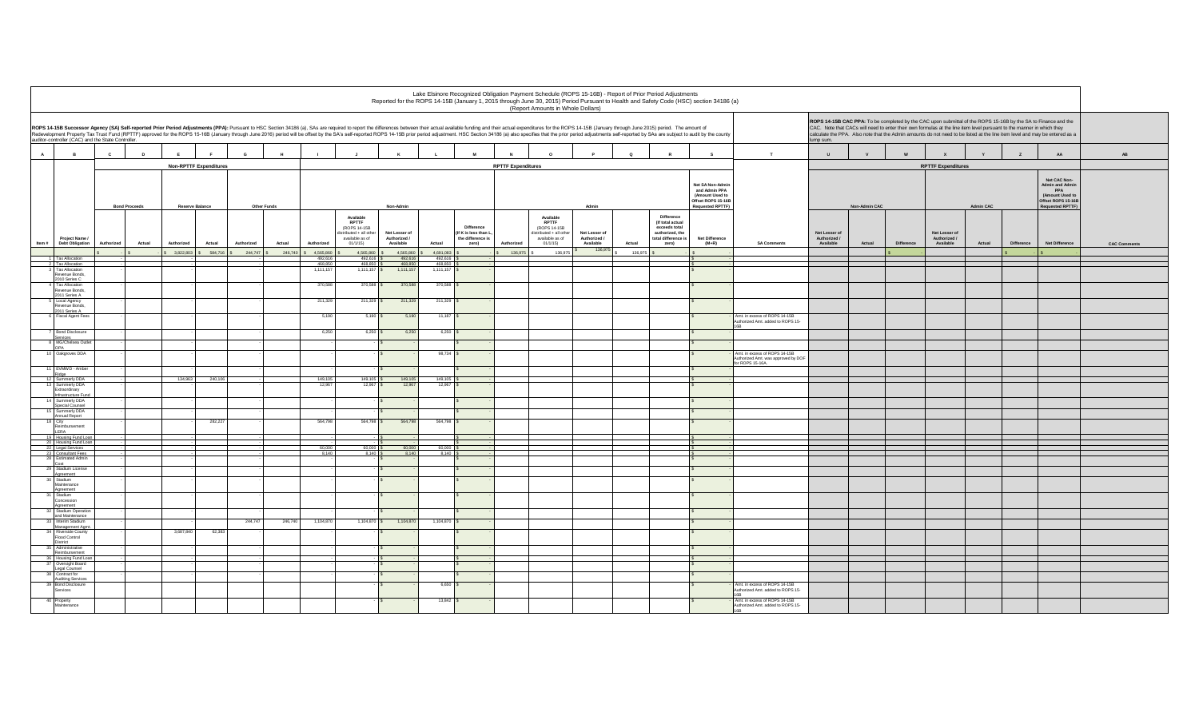|              |                                                               |            |                      |             |                        |            |             |                    |                                                                                                                                                                                                                                |                                            |                             |                                                                   | Lake Elsinore Recognized Obligation Payment Schedule (ROPS 15-16B) - Report of Prior Period Adjustments | (Report Amounts in Whole Dollars)                                                                 |                                            |         |                                                                                                   | Reported for the ROPS 14-15B (January 1, 2015 through June 30, 2015) Period Pursuant to Health and Safety Code (HSC) section 34186 (a) |                                                                                        |                                            |               |            |                                                                                                                                                                                                                                                                                                                                                                       |                  |            |                                                                                                                   |                     |
|--------------|---------------------------------------------------------------|------------|----------------------|-------------|------------------------|------------|-------------|--------------------|--------------------------------------------------------------------------------------------------------------------------------------------------------------------------------------------------------------------------------|--------------------------------------------|-----------------------------|-------------------------------------------------------------------|---------------------------------------------------------------------------------------------------------|---------------------------------------------------------------------------------------------------|--------------------------------------------|---------|---------------------------------------------------------------------------------------------------|----------------------------------------------------------------------------------------------------------------------------------------|----------------------------------------------------------------------------------------|--------------------------------------------|---------------|------------|-----------------------------------------------------------------------------------------------------------------------------------------------------------------------------------------------------------------------------------------------------------------------------------------------------------------------------------------------------------------------|------------------|------------|-------------------------------------------------------------------------------------------------------------------|---------------------|
|              | auditor-controller (CAC) and the State Controller.            |            |                      |             |                        |            |             |                    | ROPS 14-15B Successor Agency (SA) Self-reported Prior Period Adjustments (PPA): Pursuant to HSC Section 34186 (a), SAs are required to report the differences between their actual available funding and their actual expendit |                                            |                             |                                                                   |                                                                                                         |                                                                                                   |                                            |         |                                                                                                   |                                                                                                                                        |                                                                                        | ump sum.                                   |               |            | ROPS 14-15B CAC PPA: To be completed by the CAC upon submittal of the ROPS 15-16B by the SA to Finance and the<br>CAC. Note that CACs will need to enter their own formulas at the line item level pursuant to the manner in which they<br>alculate the PPA. Also note that the Admin amounts do not need to be listed at the line item level and may be entered as a |                  |            |                                                                                                                   |                     |
| $\mathsf{A}$ | <b>B</b>                                                      | c          | $\mathbf{D}$         |             |                        | G          |             |                    |                                                                                                                                                                                                                                |                                            |                             |                                                                   |                                                                                                         | $\circ$                                                                                           |                                            | $\circ$ |                                                                                                   | s                                                                                                                                      | T                                                                                      | $\cup$                                     | $\mathbf{v}$  | W          |                                                                                                                                                                                                                                                                                                                                                                       |                  |            | AA                                                                                                                | AB                  |
|              |                                                               |            |                      |             | Non-RPTTF Expenditures |            |             |                    |                                                                                                                                                                                                                                |                                            |                             |                                                                   | <b>RPTTF Expenditures</b>                                                                               |                                                                                                   |                                            |         |                                                                                                   |                                                                                                                                        |                                                                                        |                                            |               |            | <b>RPTTF Expenditures</b>                                                                                                                                                                                                                                                                                                                                             |                  |            |                                                                                                                   |                     |
|              |                                                               |            | <b>Bond Proceeds</b> |             | <b>Reserve Balance</b> |            | Other Funds |                    |                                                                                                                                                                                                                                | Non-Admin                                  |                             |                                                                   |                                                                                                         |                                                                                                   |                                            |         |                                                                                                   | Net SA Non-Admir<br>and Admin PPA<br>(Amount Used to<br>Offset ROPS 15-16E<br><b>Requested RPTTF</b>                                   |                                                                                        |                                            | Non-Admin CAC |            |                                                                                                                                                                                                                                                                                                                                                                       | <b>Admin CAC</b> |            | Net CAC Non-<br><b>Admin and Admin</b><br>PPA<br>(Amount Used to<br>Offset ROPS 15-16B<br><b>Requested RPTTF)</b> |                     |
| Item #       | Project Name /<br><b>Debt Obligation</b>                      | Authorized | Actual               | Authorized  | Actual                 | Authorized | Actual      | Authorized         | Available<br><b>RPTTF</b><br>(ROPS 14-15B<br>listributed + all other<br>available as of<br>01/1/15                                                                                                                             | Net Lesser of<br>Authorized /<br>Available | Actual                      | Difference<br>(If K is less than L,<br>the difference is<br>zero) | Authorized                                                                                              | Available<br><b>RPTTF</b><br>(ROPS 14-15B<br>distributed + all othe<br>available as of<br>01/1/15 | Net Lesser of<br>Authorized /<br>Available | Actual  | Difference<br>(If total actual<br>exceeds total<br>authorized, the<br>total difference i<br>zero) | <b>Net Difference</b><br>$(M+R)$                                                                                                       | <b>SA Comments</b>                                                                     | Net Lesser of<br>Authorized /<br>Available | Actual        | Difference | Net Lesser of<br>Authorized /<br>Available                                                                                                                                                                                                                                                                                                                            | Actual           | Difference | Net Difference                                                                                                    | <b>CAC Comments</b> |
|              |                                                               |            |                      | \$3,822,803 | 584,716                | 244,747    | 246,74      | 4,565,860          | 4,565,860                                                                                                                                                                                                                      | 4,565,860<br>492,616                       | 4,691,083<br>492,616        |                                                                   | 136,975                                                                                                 | 136,97                                                                                            | 136,975                                    | 136,975 |                                                                                                   |                                                                                                                                        |                                                                                        |                                            |               |            |                                                                                                                                                                                                                                                                                                                                                                       |                  |            |                                                                                                                   |                     |
|              | 1 Tax Allocation<br>2 Tax Allocation<br>3 Tax Allocation      |            |                      |             |                        |            |             | 492,616<br>468,850 | 492,616<br>468,850                                                                                                                                                                                                             | 468,850<br>1,111,157                       | 468,850<br>1,111,157        |                                                                   |                                                                                                         |                                                                                                   |                                            |         |                                                                                                   |                                                                                                                                        |                                                                                        |                                            |               |            |                                                                                                                                                                                                                                                                                                                                                                       |                  |            |                                                                                                                   |                     |
|              | Revenue Bonds,<br>2010 Series C                               |            |                      |             |                        |            |             | 1,111,157          | 1,111,157                                                                                                                                                                                                                      |                                            |                             |                                                                   |                                                                                                         |                                                                                                   |                                            |         |                                                                                                   |                                                                                                                                        |                                                                                        |                                            |               |            |                                                                                                                                                                                                                                                                                                                                                                       |                  |            |                                                                                                                   |                     |
|              | 4 Tax Allocation<br>Revenue Bonds,<br>2011 Series A           |            |                      |             |                        |            |             | 370,588            | 370,588                                                                                                                                                                                                                        | 370,588                                    | 370,588                     |                                                                   |                                                                                                         |                                                                                                   |                                            |         |                                                                                                   |                                                                                                                                        |                                                                                        |                                            |               |            |                                                                                                                                                                                                                                                                                                                                                                       |                  |            |                                                                                                                   |                     |
|              | Local Agency<br>Revenue Bonds,<br>2011 Series A               |            |                      |             |                        |            |             | 211,329            | 211,329                                                                                                                                                                                                                        | 211,329                                    | 211,329                     |                                                                   |                                                                                                         |                                                                                                   |                                            |         |                                                                                                   |                                                                                                                                        |                                                                                        |                                            |               |            |                                                                                                                                                                                                                                                                                                                                                                       |                  |            |                                                                                                                   |                     |
|              | <b>Fiscal Agent Fees</b>                                      |            |                      |             |                        |            |             | 5,190              | 5,190                                                                                                                                                                                                                          | 5,190                                      | 11,187                      |                                                                   |                                                                                                         |                                                                                                   |                                            |         |                                                                                                   |                                                                                                                                        | \mt. in excess of ROPS 14-15B<br>uthorized Amt. added to ROPS 15-                      |                                            |               |            |                                                                                                                                                                                                                                                                                                                                                                       |                  |            |                                                                                                                   |                     |
|              | <b>Bond Disclosure</b><br>iervices                            |            |                      |             |                        |            |             | 6,250              | $6,250$ \$                                                                                                                                                                                                                     | 6,250                                      | $6,250$ $\frac{9}{2}$       |                                                                   |                                                                                                         |                                                                                                   |                                            |         |                                                                                                   |                                                                                                                                        |                                                                                        |                                            |               |            |                                                                                                                                                                                                                                                                                                                                                                       |                  |            |                                                                                                                   |                     |
|              | 8 MG/Chelsea Out<br><b>OPA</b>                                |            |                      |             |                        |            |             |                    |                                                                                                                                                                                                                                |                                            |                             |                                                                   |                                                                                                         |                                                                                                   |                                            |         |                                                                                                   |                                                                                                                                        |                                                                                        |                                            |               |            |                                                                                                                                                                                                                                                                                                                                                                       |                  |            |                                                                                                                   |                     |
|              | 10 Oakgroves DDA                                              |            |                      |             |                        |            |             |                    |                                                                                                                                                                                                                                |                                            | 98,734 \$                   |                                                                   |                                                                                                         |                                                                                                   |                                            |         |                                                                                                   |                                                                                                                                        | Amt. in excess of ROPS 14-15B<br>uthorized Amt. was approved by DOF<br>or ROPS 15-16A. |                                            |               |            |                                                                                                                                                                                                                                                                                                                                                                       |                  |            |                                                                                                                   |                     |
|              | 11 EVMWD - Amber<br>Ridge                                     |            |                      |             |                        |            |             |                    |                                                                                                                                                                                                                                |                                            |                             |                                                                   |                                                                                                         |                                                                                                   |                                            |         |                                                                                                   |                                                                                                                                        |                                                                                        |                                            |               |            |                                                                                                                                                                                                                                                                                                                                                                       |                  |            |                                                                                                                   |                     |
|              | 12 Summerly DDA<br>13 Summerly DDA                            |            |                      | 134,963     | 240,106                |            |             | 149,105<br>12,967  | $\frac{149,105}{12,967}$ \$                                                                                                                                                                                                    | $\frac{149,105}{12,967}$                   | $\frac{149,105}{12,967}$ \$ |                                                                   |                                                                                                         |                                                                                                   |                                            |         |                                                                                                   |                                                                                                                                        |                                                                                        |                                            |               |            |                                                                                                                                                                                                                                                                                                                                                                       |                  |            |                                                                                                                   |                     |
|              | Extraordinary<br>Infrastructure Fund                          |            |                      |             |                        |            |             |                    |                                                                                                                                                                                                                                |                                            |                             |                                                                   |                                                                                                         |                                                                                                   |                                            |         |                                                                                                   |                                                                                                                                        |                                                                                        |                                            |               |            |                                                                                                                                                                                                                                                                                                                                                                       |                  |            |                                                                                                                   |                     |
|              | 14 Summerly DDA<br>Special Counsel<br>15 Summerly DDA         |            |                      |             |                        |            |             |                    |                                                                                                                                                                                                                                |                                            |                             |                                                                   |                                                                                                         |                                                                                                   |                                            |         |                                                                                                   |                                                                                                                                        |                                                                                        |                                            |               |            |                                                                                                                                                                                                                                                                                                                                                                       |                  |            |                                                                                                                   |                     |
|              | Annual Report                                                 |            |                      |             |                        |            |             |                    |                                                                                                                                                                                                                                |                                            |                             |                                                                   |                                                                                                         |                                                                                                   |                                            |         |                                                                                                   |                                                                                                                                        |                                                                                        |                                            |               |            |                                                                                                                                                                                                                                                                                                                                                                       |                  |            |                                                                                                                   |                     |
|              | 18 City<br>Reimbursement<br>LERA                              |            |                      |             | 282,227                |            |             | 564,798            | 564,798                                                                                                                                                                                                                        | 564,798                                    | 564,798                     |                                                                   |                                                                                                         |                                                                                                   |                                            |         |                                                                                                   |                                                                                                                                        |                                                                                        |                                            |               |            |                                                                                                                                                                                                                                                                                                                                                                       |                  |            |                                                                                                                   |                     |
|              | 19 Housing Fund Loan<br>20 Housing Fund Loan                  |            |                      |             |                        |            |             |                    |                                                                                                                                                                                                                                |                                            |                             |                                                                   |                                                                                                         |                                                                                                   |                                            |         |                                                                                                   |                                                                                                                                        |                                                                                        |                                            |               |            |                                                                                                                                                                                                                                                                                                                                                                       |                  |            |                                                                                                                   |                     |
|              | 22 Legal Services<br>23 Consultant Fees                       |            |                      |             |                        |            |             | 60,000<br>8.140    | 60,000<br>8.140                                                                                                                                                                                                                | 60,000<br>8.140                            | 60,000<br>8.140             |                                                                   |                                                                                                         |                                                                                                   |                                            |         |                                                                                                   |                                                                                                                                        |                                                                                        |                                            |               |            |                                                                                                                                                                                                                                                                                                                                                                       |                  |            |                                                                                                                   |                     |
|              | 28 Estimated Admin                                            |            |                      |             |                        |            |             |                    |                                                                                                                                                                                                                                |                                            |                             |                                                                   |                                                                                                         |                                                                                                   |                                            |         |                                                                                                   |                                                                                                                                        |                                                                                        |                                            |               |            |                                                                                                                                                                                                                                                                                                                                                                       |                  |            |                                                                                                                   |                     |
|              | 29 Stadium License<br>Agreement<br>30 Stadium                 |            |                      |             |                        |            |             |                    |                                                                                                                                                                                                                                |                                            |                             |                                                                   |                                                                                                         |                                                                                                   |                                            |         |                                                                                                   |                                                                                                                                        |                                                                                        |                                            |               |            |                                                                                                                                                                                                                                                                                                                                                                       |                  |            |                                                                                                                   |                     |
|              | Maintenance<br>Agreement<br>31 Stadium                        |            |                      |             |                        |            |             |                    |                                                                                                                                                                                                                                |                                            |                             |                                                                   |                                                                                                         |                                                                                                   |                                            |         |                                                                                                   |                                                                                                                                        |                                                                                        |                                            |               |            |                                                                                                                                                                                                                                                                                                                                                                       |                  |            |                                                                                                                   |                     |
|              | Concession<br>Agreement                                       |            |                      |             |                        |            |             |                    |                                                                                                                                                                                                                                |                                            |                             |                                                                   |                                                                                                         |                                                                                                   |                                            |         |                                                                                                   |                                                                                                                                        |                                                                                        |                                            |               |            |                                                                                                                                                                                                                                                                                                                                                                       |                  |            |                                                                                                                   |                     |
|              | 32 Stadium Operatio<br>and Maintenance                        |            |                      |             |                        |            |             |                    |                                                                                                                                                                                                                                |                                            |                             |                                                                   |                                                                                                         |                                                                                                   |                                            |         |                                                                                                   |                                                                                                                                        |                                                                                        |                                            |               |            |                                                                                                                                                                                                                                                                                                                                                                       |                  |            |                                                                                                                   |                     |
|              | 33 Interim Stadium<br>Management Agmt                         |            |                      |             |                        | 244,747    | 246,740     | 1,104,870          | 1,104,870                                                                                                                                                                                                                      | 1,104,870                                  | 1,104,870                   |                                                                   |                                                                                                         |                                                                                                   |                                            |         |                                                                                                   |                                                                                                                                        |                                                                                        |                                            |               |            |                                                                                                                                                                                                                                                                                                                                                                       |                  |            |                                                                                                                   |                     |
|              | 34 Riverside County<br>Flood Control<br>District              |            |                      | 3,687,840   | 62,383                 |            |             |                    |                                                                                                                                                                                                                                |                                            |                             |                                                                   |                                                                                                         |                                                                                                   |                                            |         |                                                                                                   |                                                                                                                                        |                                                                                        |                                            |               |            |                                                                                                                                                                                                                                                                                                                                                                       |                  |            |                                                                                                                   |                     |
|              | 35 Administrative<br>Reimbursement                            |            |                      |             |                        |            |             |                    |                                                                                                                                                                                                                                |                                            |                             |                                                                   |                                                                                                         |                                                                                                   |                                            |         |                                                                                                   |                                                                                                                                        |                                                                                        |                                            |               |            |                                                                                                                                                                                                                                                                                                                                                                       |                  |            |                                                                                                                   |                     |
|              | 36 Housing Fund Loan<br>37 Oversight Board<br>Oversight Board |            |                      |             |                        |            |             |                    |                                                                                                                                                                                                                                |                                            |                             |                                                                   |                                                                                                         |                                                                                                   |                                            |         |                                                                                                   |                                                                                                                                        |                                                                                        |                                            |               |            |                                                                                                                                                                                                                                                                                                                                                                       |                  |            |                                                                                                                   |                     |
|              | Legal Counsel<br>38 Contract for                              |            |                      |             |                        |            |             |                    |                                                                                                                                                                                                                                |                                            |                             |                                                                   |                                                                                                         |                                                                                                   |                                            |         |                                                                                                   |                                                                                                                                        |                                                                                        |                                            |               |            |                                                                                                                                                                                                                                                                                                                                                                       |                  |            |                                                                                                                   |                     |
|              | Auditing Services<br>39 Bond Disclosure                       |            |                      |             |                        |            |             |                    |                                                                                                                                                                                                                                |                                            | 6,650                       |                                                                   |                                                                                                         |                                                                                                   |                                            |         |                                                                                                   |                                                                                                                                        | Amt. in excess of ROPS 14-15B                                                          |                                            |               |            |                                                                                                                                                                                                                                                                                                                                                                       |                  |            |                                                                                                                   |                     |
|              | Services<br>40 Property                                       |            |                      |             |                        |            |             |                    |                                                                                                                                                                                                                                |                                            | 13,842                      |                                                                   |                                                                                                         |                                                                                                   |                                            |         |                                                                                                   |                                                                                                                                        | uthorized Amt. added to ROPS 15-<br>Amt. in excess of ROPS 14-15B                      |                                            |               |            |                                                                                                                                                                                                                                                                                                                                                                       |                  |            |                                                                                                                   |                     |
|              | Maintenance                                                   |            |                      |             |                        |            |             |                    |                                                                                                                                                                                                                                |                                            |                             |                                                                   |                                                                                                         |                                                                                                   |                                            |         |                                                                                                   |                                                                                                                                        | Authorized Amt. added to ROPS 15-                                                      |                                            |               |            |                                                                                                                                                                                                                                                                                                                                                                       |                  |            |                                                                                                                   |                     |